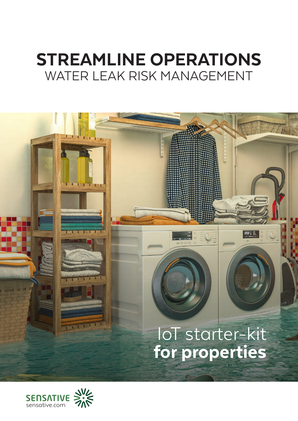# STREAMLINE OPERATIONS WATER LEAK RISK MANAGEMENT

# 图: **RATIFULL** IoT starter-kit for properties

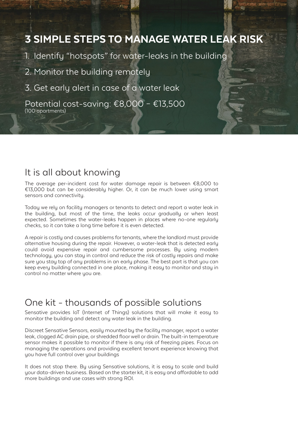# 3 SIMPLE STEPS TO MANAGE WATER LEAK RISK

- 1. Identify "hotspots" for water-leaks in the building
- 2. Monitor the building remotely
- 3. Get early alert in case of a water leak

Potential cost-saving: €8,000 – €13,500 (100 apartments)

## It is all about knowing

The average per-incident cost for water damage repair is between €8,000 to €13,000 but can be considerably higher. Or, it can be much lower using smart sensors and connectivity.

Today we rely on facility managers or tenants to detect and report a water leak in the building, but most of the time, the leaks occur gradually or when least expected. Sometimes the water-leaks happen in places where no-one regularly checks, so it can take a long time before it is even detected.

A repair is costly and causes problems for tenants, where the landlord must provide alternative housing during the repair. However, a water-leak that is detected early could avoid expensive repair and cumbersome processes. By using modern technology, you can stay in control and reduce the risk of costly repairs and make sure you stay top of any problems in an early phase. The best part is that you can keep every building connected in one place, making it easy to monitor and stay in control no matter where you are.

# One kit - thousands of possible solutions

Sensative provides IoT (Internet of Things) solutions that will make it easy to monitor the building and detect any water leak in the building.

Discreet Sensative Sensors, easily mounted by the facility manager, report a water leak, clogged AC drain pipe, or shredded floor well or drain. The built-in temperature sensor makes it possible to monitor if there is any risk of freezing pipes. Focus on managing the operations and providing excellent tenant experience knowing that you have full control over your buildings

It does not stop there. By using Sensative solutions, it is easy to scale and build your data-driven business. Based on the starter kit, it is easy and affordable to add more buildings and use cases with strong ROI.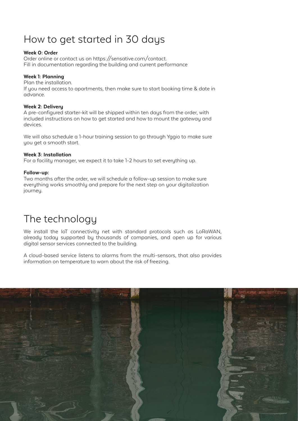# How to get started in 30 days

### Week 0: Order

Order online or contact us on https://sensative.com/contact. Fill in documentation regarding the building and current performance

### Week 1: Planning

Plan the installation.

If you need access to apartments, then make sure to start booking time & date in advance.

### Week 2: Delivery

A pre-configured starter-kit will be shipped within ten days from the order, with included instructions on how to get started and how to mount the gateway and devices.

We will also schedule a 1-hour training session to go through Yggio to make sure you get a smooth start.

### Week 3: Installation

For a facility manager, we expect it to take 1-2 hours to set everything up.

### Follow-up:

Two months after the order, we will schedule a follow-up session to make sure everything works smoothly and prepare for the next step on your digitalization journeu.

# The technology

We install the IoT connectivity net with standard protocols such as LoRaWAN, already today supported by thousands of companies, and open up for various digital sensor services connected to the building.

A cloud-based service listens to alarms from the multi-sensors, that also provides information on temperature to warn about the risk of freezing.